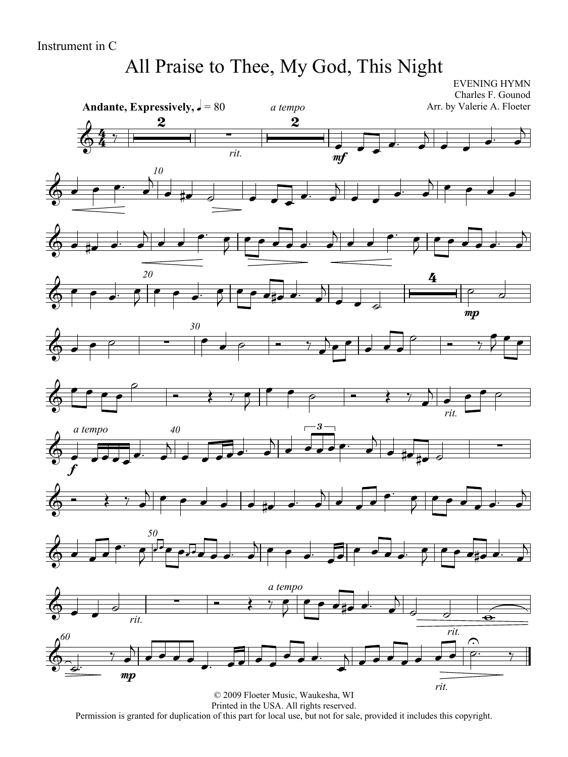# All Praise to Thee, My God, This Night

EVENING HYMN Charles F. Gounod Arr. by Valerie A. Floeter

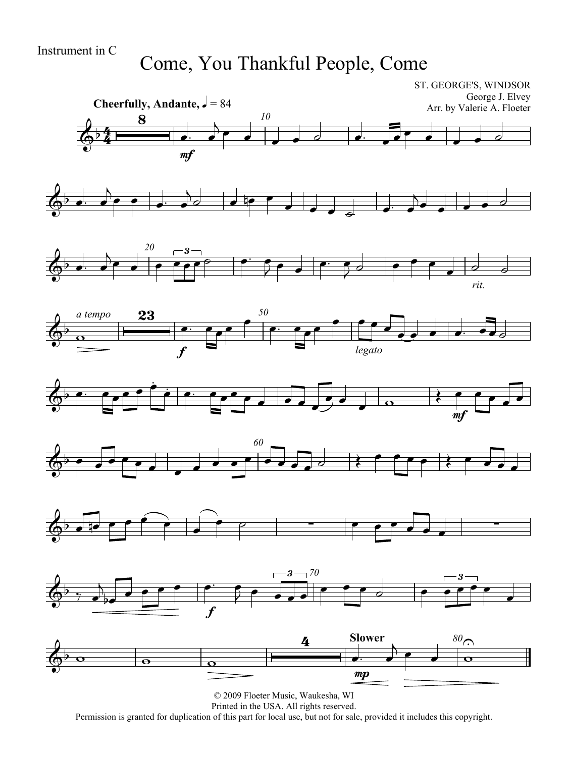## Come, You Thankful People, Come

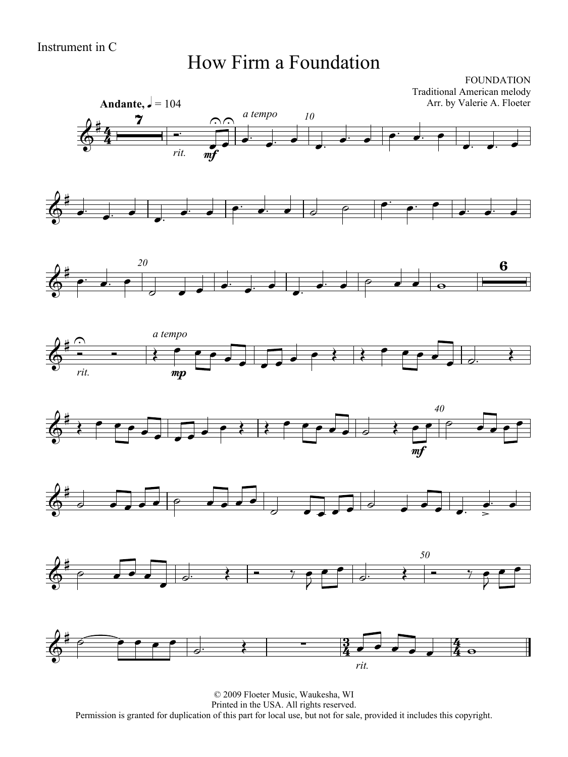#### How Firm a Foundation

FOUNDATION Traditional American melody Arr. by Valerie A. Floeter

















© 2009 Floeter Music, Waukesha, WI Printed in the USA. All rights reserved. Permission is granted for duplication of this part for local use, but not for sale, provided it includes this copyright.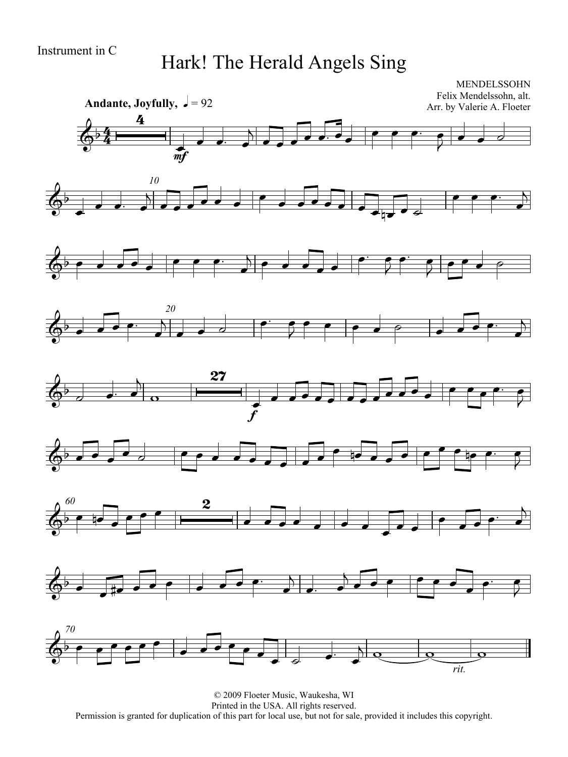## Hark! The Herald Angels Sing



© 2009 Floeter Music, Waukesha, WI Printed in the USA. All rights reserved. Permission is granted for duplication of this part for local use, but not for sale, provided it includes this copyright.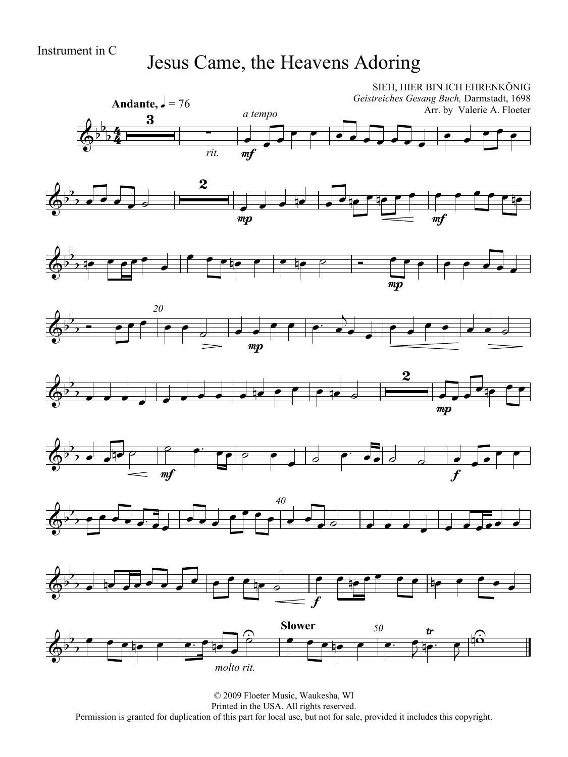### Jesus Came, the Heavens Adoring

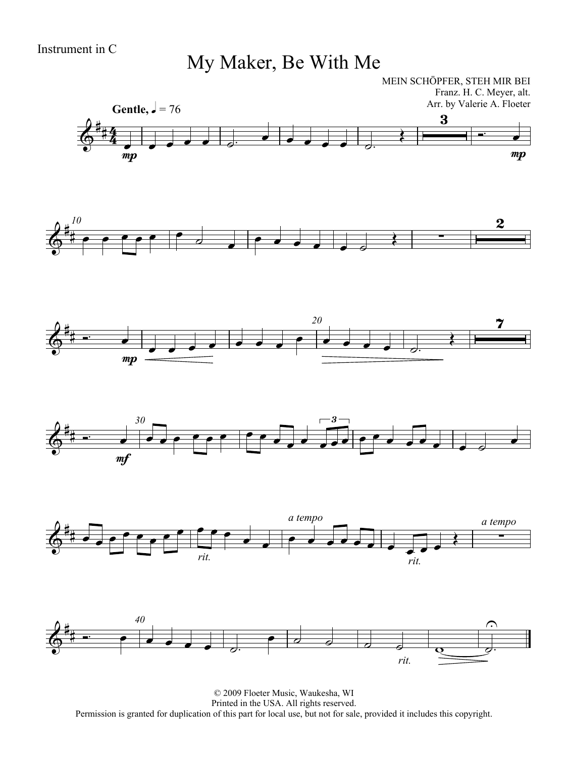## My Maker, Be With Me

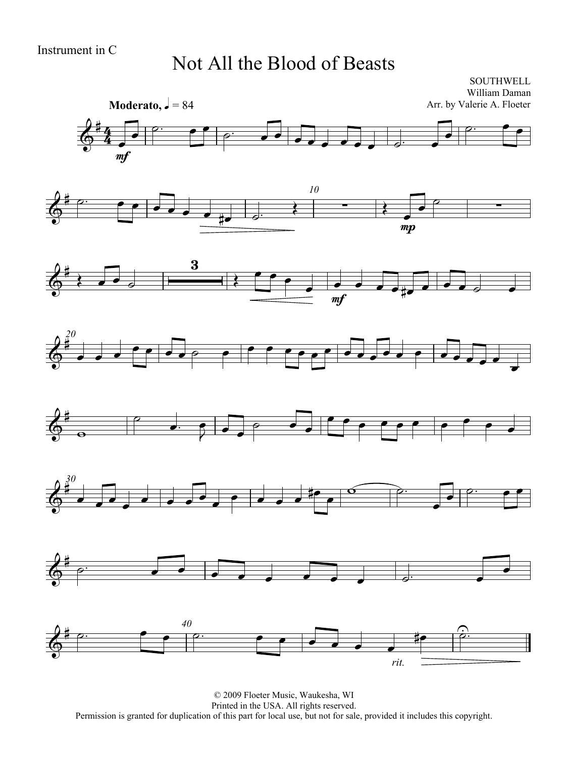#### Not All the Blood of Beasts

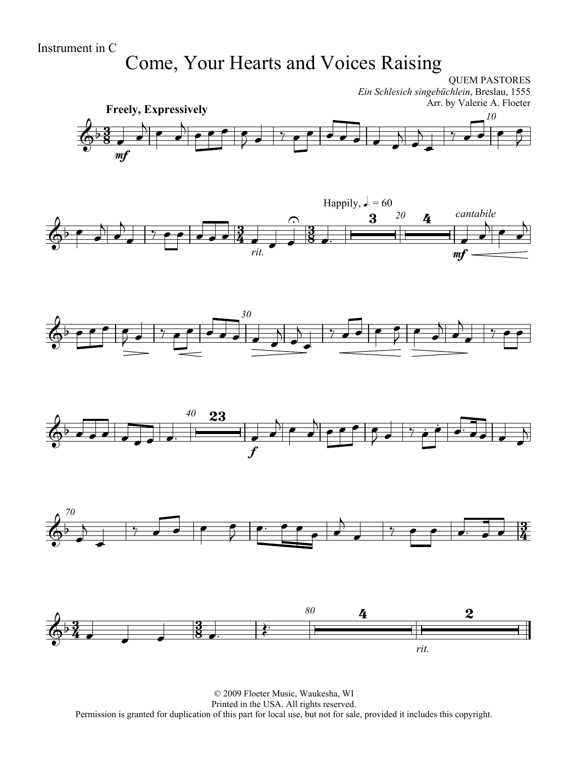# Come, Your Hearts and Voices Raising

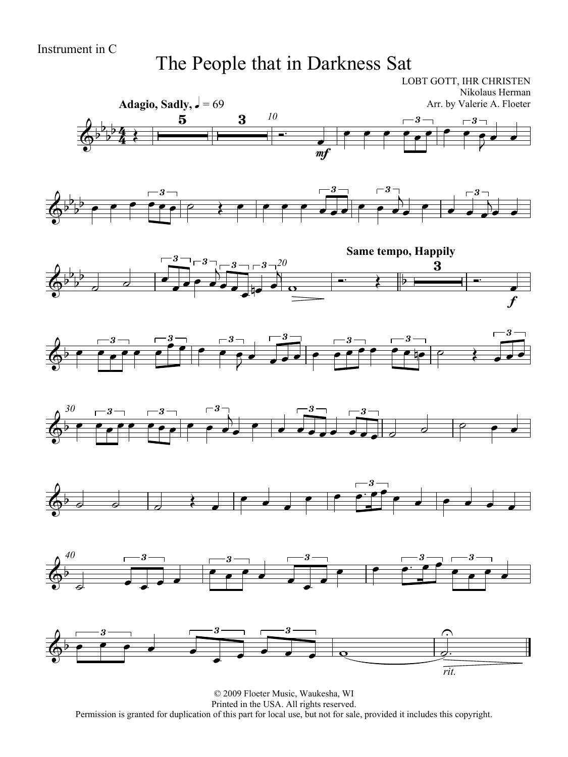### The People that in Darkness Sat

 $\overline{4}$  $\frac{4}{4}$ Adagio, Sadly,  $\sqrt{ } = 69$ LOBT GOTT, IHR CHRISTEN Nikolaus Herman Arr. by Valerie A. Floeter *10*  $\overline{\Phi^{\flat}}$  $\frac{1}{2}$  $\frac{1}{2}$  $\frac{1}{4}$  $\frac{5}{5}$   $\frac{3}{10}$ mf  $\overline{\phantom{a}}$  $\overline{\phantom{a}}$ 3  $\begin{array}{c|c} \circ & \circ \\ \hline \bullet & \bullet \end{array}$ 3  $\frac{1}{\sqrt{2}}$  $\rightarrow$  $\overline{\Phi^{\flat}}$  $\flat$  $\frac{1}{2}$  $\rightarrow$   $\rightarrow$   $\rightarrow$   $\rightarrow$ 3  $\overrightarrow{e}$ 3  $\overline{\cdots}$ 3  $\overline{\phantom{a}}$ ן<br>∖  $\overline{\bullet}$  $\begin{array}{|c|c|c|c|}\hline \multicolumn{1}{|c|}{0}& \multicolumn{1}{|c|}{0} & \multicolumn{1}{|c|}{0} \\\hline \multicolumn{1}{|c|}{0}& \multicolumn{1}{|c|}{0}& \multicolumn{1}{|c|}{0} & \multicolumn{1}{|c|}{0} \\\hline \multicolumn{1}{|c|}{0}& \multicolumn{1}{|c|}{0}& \multicolumn{1}{|c|}{0} & \multicolumn{1}{|c|}{0} \\\hline \multicolumn{1}{|c|}{0}& \multicolumn{1}{|c|}{0}& \multicolumn{1}{|c|}{0}& \multicolumn{1$ 3  $\overline{\phantom{a}}$ |<br>|<br>|}  $\overrightarrow{\cdot}$  $\frac{3-20}{\Box}$ **Same tempo, Happily**  $\overline{\Phi}$  $\frac{1}{2}$  $\frac{1}{2}$  $\frac{1}{2}$  $\overline{\phantom{a}}$ 3  $\overrightarrow{ }$  $\overrightarrow{ }$ 3  $\overline{\phantom{a}}$  <sup>3</sup>  $\overrightarrow{ }$  $\frac{1}{2}$  $\frac{1}{\bullet}$  $\circ$   $\qquad \qquad$  $\frac{3}{\sqrt{2}}$ f  $\overline{\phantom{0}}$  $\phi$ 3  $\frac{1}{\sqrt{1-\frac{1}{\sqrt{1-\frac{1}{\sqrt{1-\frac{1}{\sqrt{1-\frac{1}{\sqrt{1-\frac{1}{\sqrt{1-\frac{1}{\sqrt{1-\frac{1}{\sqrt{1-\frac{1}{\sqrt{1-\frac{1}{\sqrt{1-\frac{1}{\sqrt{1-\frac{1}{\sqrt{1-\frac{1}{\sqrt{1-\frac{1}{\sqrt{1-\frac{1}{\sqrt{1-\frac{1}{\sqrt{1-\frac{1}{\sqrt{1-\frac{1}{\sqrt{1-\frac{1}{\sqrt{1-\frac{1}{\sqrt{1-\frac{1}{\sqrt{1-\frac{1}{\sqrt{1-\frac{1}{\sqrt{1-\frac{1}{\sqrt{1-\frac{1$ 3  $\overline{\bullet}$  $\begin{array}{c} 3 \rightharpoonup \rightharpoonup \rightharpoonup \rightharpoonup \rightharpoonup \rightharpoonup \rightharpoonup \rightharpoonup \rightharpoonup \rightharpoonup \rightharpoonup \rightharpoonup \rightharpoonup \rightharpoonup \rightharpoonup \rightharpoonup \rightharpoonup \rightharpoonup \rightharpoonup \rightharpoonup \rightharpoonup \rightharpoonup \rightharpoonup \rightharpoonup \rightharpoonup \rightharpoonup \rightharpoonup \rightharpoonup \rightharpoonup \rightharpoonup \rightharpoonup \rightharpoonup \rightharpoonup \rightharpoonup \rightharpoonup \$ 3  $\overline{\bullet}$  $\overline{\phantom{a}}$ 3  $\overline{\phantom{a}}$ 3  $\frac{1}{\sqrt{1-\frac{1}{2}}}$ 3  $\begin{array}{c|c} \circ & \circ & \bullet \\ \hline \end{array}$ 3  $\overline{\phantom{a}}$ *30*  $\phi$ 3  $\frac{1}{\sqrt{1-\frac{1}{\sqrt{1-\frac{1}{\sqrt{1-\frac{1}{\sqrt{1-\frac{1}{\sqrt{1-\frac{1}{\sqrt{1-\frac{1}{\sqrt{1-\frac{1}{\sqrt{1-\frac{1}{\sqrt{1-\frac{1}{\sqrt{1-\frac{1}{\sqrt{1-\frac{1}{\sqrt{1-\frac{1}{\sqrt{1-\frac{1}{\sqrt{1-\frac{1}{\sqrt{1-\frac{1}{\sqrt{1-\frac{1}{\sqrt{1-\frac{1}{\sqrt{1-\frac{1}{\sqrt{1-\frac{1}{\sqrt{1-\frac{1}{\sqrt{1-\frac{1}{\sqrt{1-\frac{1}{\sqrt{1-\frac{1}{\sqrt{1-\frac{1$ 3  $\overrightarrow{e}$ 3  $\overline{\phantom{a}}$ ו<br>A  $\overline{\phantom{a}}$  $\overrightarrow{\cdot}$ 3  $\overrightarrow{ }$ 3  $\overrightarrow{c}$  $\begin{array}{ccccc}\n\bullet & \circ & \circ & \circ\n\end{array}$  $\overrightarrow{ }$  $\overline{\phantom{0}}$ 3  $\frac{-3}{\sqrt{2}}$  *40*  $\overline{\Phi^{\flat}}$  $\overline{\phantom{a}}$ 3  $\overrightarrow{z}$ 3  $\begin{array}{c|c} \circ & \bullet \\ \hline \bullet & \bullet \end{array}$ 3  $\overline{\phantom{a}}$  $\overline{\phantom{a}}$  $\overline{\phantom{a}}$  $\overline{\mathbf{P}}$ 3  $\begin{array}{c} \overline{\phantom{0}} \ \bullet \ \end{array}$ 3  $\overrightarrow{\cdot}$  $\overline{\Phi^{\flat}}$ 3  $\begin{array}{c|c} \circ & \bullet \\ \hline \bullet & \bullet & \bullet \end{array}$ 3  $\overline{\bullet}$  $\overline{\phantom{a}}$ 3  $\overrightarrow{a}$ *rit.*  $\frac{1}{2}$  $\widehat{\mathbb{P}}$  $\frac{1}{1}$